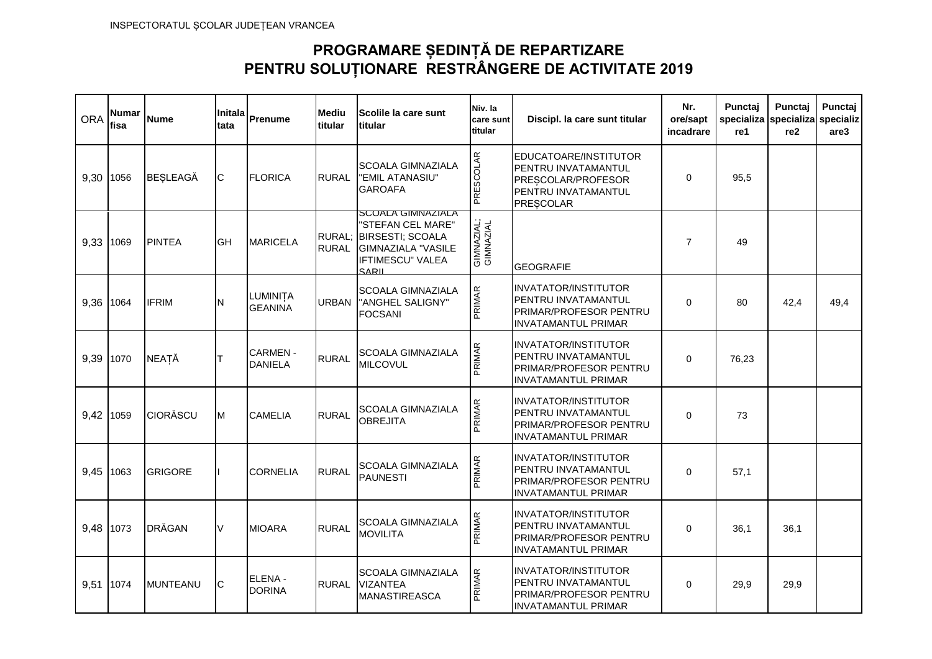## **PROGRAMARE ȘEDINȚĂ DE REPARTIZARE PENTRU SOLUȚIONARE RESTRÂNGERE DE ACTIVITATE 2019**

| <b>ORA</b> | <b>Numar</b><br>fisa | <b>Nume</b>     | Initala<br>tata | Prenume                          | <b>Mediu</b><br>titular | Scolile la care sunt<br>titular                                                                                                     | Niv. la<br>care sunt<br>titular | Discipl. la care sunt titular                                                                                     | Nr.<br>ore/sapt<br>incadrare | Punctaj<br>specializa<br>re1 | Punctaj<br>specializa<br>re <sub>2</sub> | Punctaj<br>specializ<br>are3 |
|------------|----------------------|-----------------|-----------------|----------------------------------|-------------------------|-------------------------------------------------------------------------------------------------------------------------------------|---------------------------------|-------------------------------------------------------------------------------------------------------------------|------------------------------|------------------------------|------------------------------------------|------------------------------|
| 9.30       | 1056                 | <b>BESLEAGĂ</b> | IС              | <b>FLORICA</b>                   | <b>RURAL</b>            | <b>SCOALA GIMNAZIALA</b><br>"EMIL ATANASIU"<br><b>GAROAFA</b>                                                                       | PRESCOLAR                       | EDUCATOARE/INSTITUTOR<br>PENTRU INVATAMANTUL<br>PRESCOLAR/PROFESOR<br>PENTRU INVATAMANTUL<br><b>PRESCOLAR</b>     | $\mathbf 0$                  | 95.5                         |                                          |                              |
| 9.33       | 1069                 | <b>PINTEA</b>   | <b>GH</b>       | <b>MARICELA</b>                  | <b>RURAL</b>            | <b>SUUALA GIMINAZIALA</b><br>'STEFAN CEL MARE"<br>RURAL; BIRSESTI; SCOALA<br>GIMNAZIALA "VASILE<br>IFTIMESCU" VALEA<br><b>SARIL</b> | GIMNAZIAL;<br>GIMNAZIAL         | <b>GEOGRAFIE</b>                                                                                                  | $\overline{7}$               | 49                           |                                          |                              |
| 9,36       | 1064                 | <b>IFRIM</b>    | N               | LUMINITA<br><b>GEANINA</b>       | <b>URBAN</b>            | <b>SCOALA GIMNAZIALA</b><br>"ANGHEL SALIGNY"<br><b>FOCSANI</b>                                                                      | PRIMAR                          | <b>INVATATOR/INSTITUTOR</b><br>PENTRU INVATAMANTUL<br>PRIMAR/PROFESOR PENTRU<br><b>INVATAMANTUL PRIMAR</b>        | $\Omega$                     | 80                           | 42.4                                     | 49,4                         |
| 9.39       | 1070                 | <b>NEATĂ</b>    | Iт              | <b>CARMEN-</b><br><b>DANIELA</b> | <b>RURAL</b>            | <b>SCOALA GIMNAZIALA</b><br><b>MILCOVUL</b>                                                                                         | PRIMAR                          | <b>INVATATOR/INSTITUTOR</b><br>PENTRU INVATAMANTUL<br>PRIMAR/PROFESOR PENTRU<br><b>INVATAMANTUL PRIMAR</b>        | $\Omega$                     | 76,23                        |                                          |                              |
| 9,42       | 1059                 | <b>CIORĂSCU</b> | M               | <b>CAMELIA</b>                   | <b>RURAL</b>            | <b>SCOALA GIMNAZIALA</b><br><b>OBREJITA</b>                                                                                         | PRIMAR                          | <b>INVATATOR/INSTITUTOR</b><br>PENTRU INVATAMANTUL<br><b>PRIMAR/PROFESOR PENTRU</b><br><b>INVATAMANTUL PRIMAR</b> | $\mathbf 0$                  | 73                           |                                          |                              |
| 9.45       | 1063                 | <b>GRIGORE</b>  |                 | <b>CORNELIA</b>                  | <b>RURAL</b>            | <b>SCOALA GIMNAZIALA</b><br><b>PAUNESTI</b>                                                                                         | PRIMAR                          | <b>INVATATOR/INSTITUTOR</b><br>PENTRU INVATAMANTUL<br>PRIMAR/PROFESOR PENTRU<br><b>INVATAMANTUL PRIMAR</b>        | $\mathbf 0$                  | 57,1                         |                                          |                              |
| 9,48       | 1073                 | <b>DRĂGAN</b>   | <b>V</b>        | <b>MIOARA</b>                    | <b>RURAL</b>            | <b>SCOALA GIMNAZIALA</b><br><b>MOVILITA</b>                                                                                         | PRIMAR                          | <b>INVATATOR/INSTITUTOR</b><br>PENTRU INVATAMANTUL<br>PRIMAR/PROFESOR PENTRU<br><b>INVATAMANTUL PRIMAR</b>        | $\Omega$                     | 36,1                         | 36,1                                     |                              |
| 9.51       | 1074                 | <b>MUNTEANU</b> | IС              | ELENA -<br><b>DORINA</b>         | <b>RURAL</b>            | <b>SCOALA GIMNAZIALA</b><br><b>VIZANTEA</b><br><b>MANASTIREASCA</b>                                                                 | PRIMAR                          | <b>INVATATOR/INSTITUTOR</b><br>PENTRU INVATAMANTUL<br>PRIMAR/PROFESOR PENTRU<br><b>INVATAMANTUL PRIMAR</b>        | $\Omega$                     | 29.9                         | 29,9                                     |                              |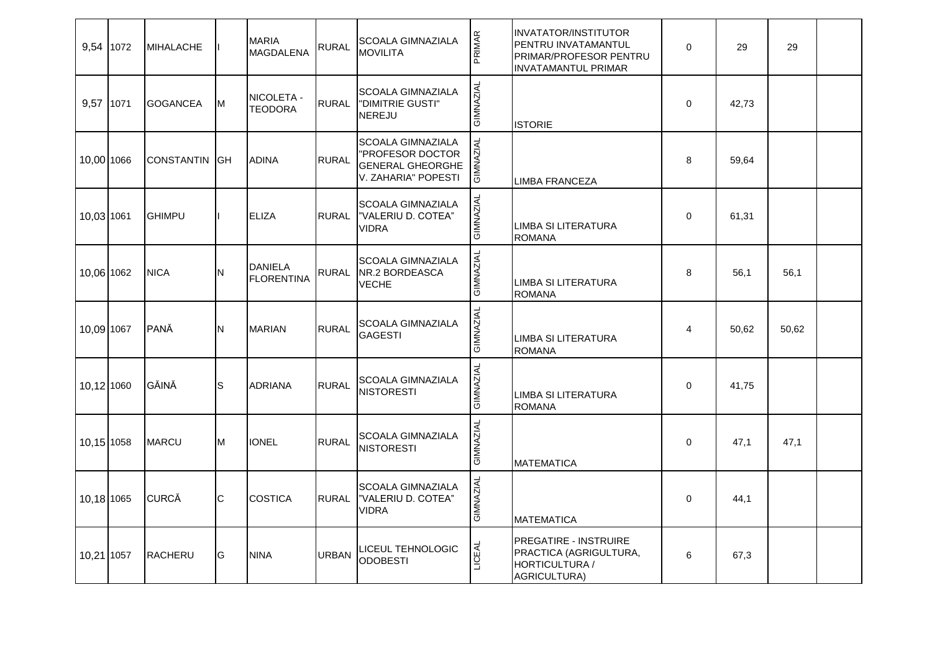| 9,54 1072  | <b>MIHALACHE</b>     |             | <b>MARIA</b><br><b>MAGDALENA</b>    | <b>RURAL</b> | <b>SCOALA GIMNAZIALA</b><br><b>MOVILITA</b>                                                    | PRIMAR           | <b>INVATATOR/INSTITUTOR</b><br>PENTRU INVATAMANTUL<br>PRIMAR/PROFESOR PENTRU<br><b>INVATAMANTUL PRIMAR</b> | $\mathbf 0$ | 29    | 29    |  |
|------------|----------------------|-------------|-------------------------------------|--------------|------------------------------------------------------------------------------------------------|------------------|------------------------------------------------------------------------------------------------------------|-------------|-------|-------|--|
| 9,57 1071  | <b>GOGANCEA</b>      | M           | NICOLETA -<br><b>TEODORA</b>        | <b>RURAL</b> | <b>SCOALA GIMNAZIALA</b><br><b>I'DIMITRIE GUSTI"</b><br><b>NEREJU</b>                          | GIMNAZIAL        | <b>ISTORIE</b>                                                                                             | $\mathbf 0$ | 42,73 |       |  |
| 10,00 1066 | <b>CONSTANTIN GH</b> |             | <b>ADINA</b>                        | <b>RURAL</b> | <b>SCOALA GIMNAZIALA</b><br>"PROFESOR DOCTOR<br><b>GENERAL GHEORGHE</b><br>V. ZAHARIA" POPESTI | GIMNAZIAL        | <b>LIMBA FRANCEZA</b>                                                                                      | 8           | 59,64 |       |  |
| 10,03 1061 | <b>GHIMPU</b>        |             | <b>ELIZA</b>                        | <b>RURAL</b> | <b>SCOALA GIMNAZIALA</b><br>"VALERIU D. COTEA"<br><b>VIDRA</b>                                 | GIMNAZIAL        | LIMBA SI LITERATURA<br><b>ROMANA</b>                                                                       | $\mathbf 0$ | 61,31 |       |  |
| 10,06 1062 | <b>NICA</b>          | N           | <b>DANIELA</b><br><b>FLORENTINA</b> |              | <b>SCOALA GIMNAZIALA</b><br>RURAL NR.2 BORDEASCA<br><b>VECHE</b>                               | GIMNAZIAL        | <b>LIMBA SI LITERATURA</b><br><b>ROMANA</b>                                                                | 8           | 56,1  | 56,1  |  |
| 10,09 1067 | PANĂ                 | N           | <b>MARIAN</b>                       | <b>RURAL</b> | <b>SCOALA GIMNAZIALA</b><br><b>GAGESTI</b>                                                     | GIMNAZIAL        | <b>LIMBA SI LITERATURA</b><br><b>ROMANA</b>                                                                | 4           | 50,62 | 50,62 |  |
| 10,12 1060 | GĂINĂ                | $\mathsf S$ | <b>ADRIANA</b>                      | <b>RURAL</b> | <b>SCOALA GIMNAZIALA</b><br><b>NISTORESTI</b>                                                  | GIMNAZIAL        | <b>LIMBA SI LITERATURA</b><br><b>ROMANA</b>                                                                | $\mathbf 0$ | 41,75 |       |  |
| 10,15 1058 | <b>MARCU</b>         | M           | <b>IONEL</b>                        | <b>RURAL</b> | <b>SCOALA GIMNAZIALA</b><br><b>NISTORESTI</b>                                                  | GIMNAZIAL        | <b>MATEMATICA</b>                                                                                          | $\Omega$    | 47,1  | 47,1  |  |
| 10,18 1065 | <b>CURCĂ</b>         | C           | <b>COSTICA</b>                      | <b>RURAL</b> | <b>SCOALA GIMNAZIALA</b><br>"VALERIU D. COTEA"<br><b>VIDRA</b>                                 | <b>GIMNAZIAL</b> | <b>MATEMATICA</b>                                                                                          | $\mathbf 0$ | 44,1  |       |  |
| 10,21 1057 | <b>RACHERU</b>       | G           | <b>NINA</b>                         | <b>URBAN</b> | LICEUL TEHNOLOGIC<br><b>ODOBESTI</b>                                                           | LICEAL           | <b>PREGATIRE - INSTRUIRE</b><br>PRACTICA (AGRIGULTURA,<br>HORTICULTURA /<br>AGRICULTURA)                   | 6           | 67,3  |       |  |